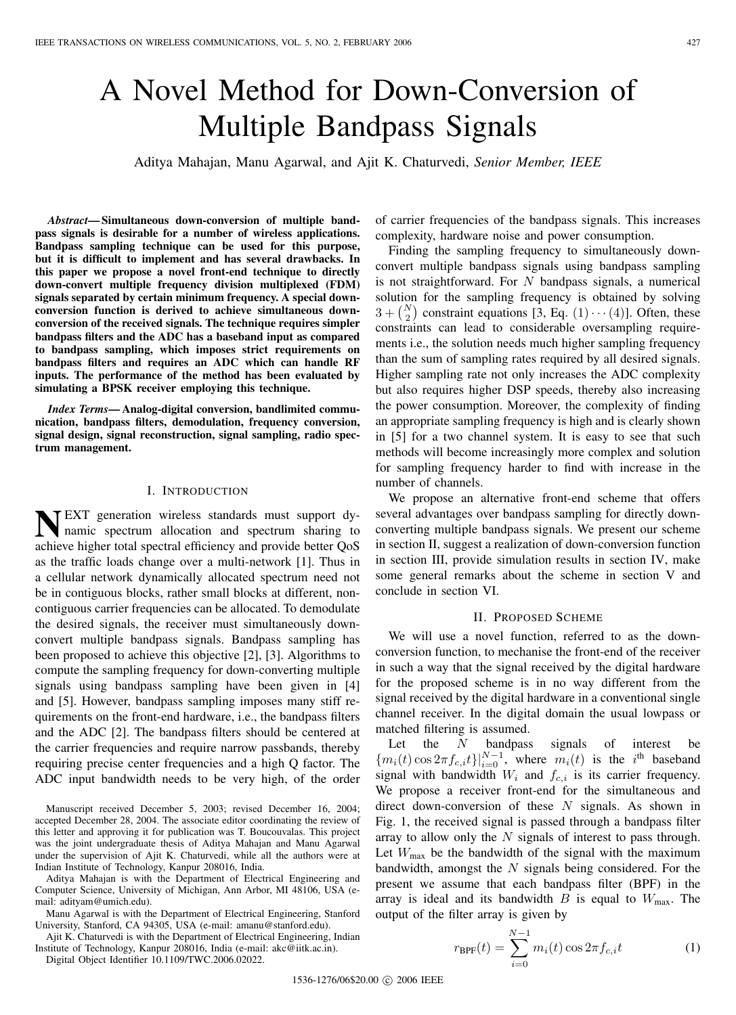# A Novel Method for Down-Conversion of Multiple Bandpass Signals

Aditya Mahajan, Manu Agarwal, and Ajit K. Chaturvedi, *Senior Member, IEEE*

*Abstract***— Simultaneous down-conversion of multiple bandpass signals is desirable for a number of wireless applications. Bandpass sampling technique can be used for this purpose, but it is difficult to implement and has several drawbacks. In this paper we propose a novel front-end technique to directly down-convert multiple frequency division multiplexed (FDM) signals separated by certain minimum frequency. A special downconversion function is derived to achieve simultaneous downconversion of the received signals. The technique requires simpler bandpass filters and the ADC has a baseband input as compared to bandpass sampling, which imposes strict requirements on bandpass filters and requires an ADC which can handle RF inputs. The performance of the method has been evaluated by simulating a BPSK receiver employing this technique.**

*Index Terms***— Analog-digital conversion, bandlimited communication, bandpass filters, demodulation, frequency conversion, signal design, signal reconstruction, signal sampling, radio spectrum management.**

## I. INTRODUCTION

**NEXT** generation wireless standards must support dynamic spectrum allocation and spectrum sharing to namic spectrum allocation and spectrum sharing to achieve higher total spectral efficiency and provide better QoS as the traffic loads change over a multi-network [1]. Thus in a cellular network dynamically allocated spectrum need not be in contiguous blocks, rather small blocks at different, noncontiguous carrier frequencies can be allocated. To demodulate the desired signals, the receiver must simultaneously downconvert multiple bandpass signals. Bandpass sampling has been proposed to achieve this objective [2], [3]. Algorithms to compute the sampling frequency for down-converting multiple signals using bandpass sampling have been given in [4] and [5]. However, bandpass sampling imposes many stiff requirements on the front-end hardware, i.e., the bandpass filters and the ADC [2]. The bandpass filters should be centered at the carrier frequencies and require narrow passbands, thereby requiring precise center frequencies and a high Q factor. The ADC input bandwidth needs to be very high, of the order

Manuscript received December 5, 2003; revised December 16, 2004; accepted December 28, 2004. The associate editor coordinating the review of this letter and approving it for publication was T. Boucouvalas. This project was the joint undergraduate thesis of Aditya Mahajan and Manu Agarwal under the supervision of Ajit K. Chaturvedi, while all the authors were at Indian Institute of Technology, Kanpur 208016, India.

Aditya Mahajan is with the Department of Electrical Engineering and Computer Science, University of Michigan, Ann Arbor, MI 48106, USA (email: adityam@umich.edu).

Manu Agarwal is with the Department of Electrical Engineering, Stanford University, Stanford, CA 94305, USA (e-mail: amanu@stanford.edu).

Ajit K. Chaturvedi is with the Department of Electrical Engineering, Indian Institute of Technology, Kanpur 208016, India (e-mail: akc@iitk.ac.in).

Digital Object Identifier 10.1109/TWC.2006.02022.

of carrier frequencies of the bandpass signals. This increases complexity, hardware noise and power consumption.

Finding the sampling frequency to simultaneously downconvert multiple bandpass signals using bandpass sampling is not straightforward. For  $N$  bandpass signals, a numerical solution for the sampling frequency is obtained by solving  $3 + {N \choose 2}$  constraint equations [3, Eq.  $(1) \cdots (4)$ ]. Often, these constraints can lead to considerable oversampling requirements i.e., the solution needs much higher sampling frequency than the sum of sampling rates required by all desired signals. Higher sampling rate not only increases the ADC complexity but also requires higher DSP speeds, thereby also increasing the power consumption. Moreover, the complexity of finding an appropriate sampling frequency is high and is clearly shown in [5] for a two channel system. It is easy to see that such methods will become increasingly more complex and solution for sampling frequency harder to find with increase in the number of channels.

We propose an alternative front-end scheme that offers several advantages over bandpass sampling for directly downconverting multiple bandpass signals. We present our scheme in section II, suggest a realization of down-conversion function in section III, provide simulation results in section IV, make some general remarks about the scheme in section V and conclude in section VI.

#### II. PROPOSED SCHEME

We will use a novel function, referred to as the downconversion function, to mechanise the front-end of the receiver in such a way that the signal received by the digital hardware for the proposed scheme is in no way different from the signal received by the digital hardware in a conventional single channel receiver. In the digital domain the usual lowpass or matched filtering is assumed.

Let the  $N$  bandpass signals of interest be  ${m_i(t) \cos 2\pi f_{c,i}t}\Big|_{i=0}^{N-1}$ , where  $m_i(t)$  is the  $i^{\text{th}}$  baseband signal with bandwidth  $W_i$  and  $f_{c,i}$  is its carrier frequency. We propose a receiver front-end for the simultaneous and direct down-conversion of these N signals. As shown in Fig. 1, the received signal is passed through a bandpass filter array to allow only the  $N$  signals of interest to pass through. Let  $W_{\text{max}}$  be the bandwidth of the signal with the maximum bandwidth, amongst the  $N$  signals being considered. For the present we assume that each bandpass filter (BPF) in the array is ideal and its bandwidth  $B$  is equal to  $W_{\text{max}}$ . The output of the filter array is given by

$$
r_{\rm BPF}(t) = \sum_{i=0}^{N-1} m_i(t) \cos 2\pi f_{c,i} t \tag{1}
$$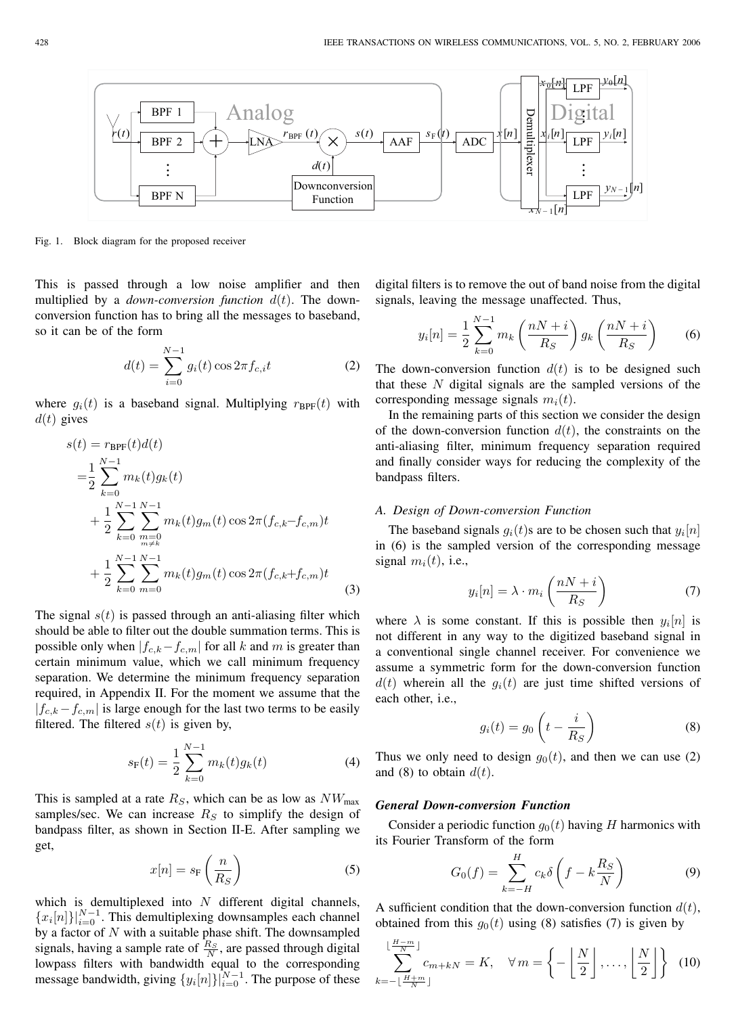

Fig. 1. Block diagram for the proposed receiver

This is passed through a low noise amplifier and then multiplied by a *down-conversion function* d(t). The downconversion function has to bring all the messages to baseband, so it can be of the form

$$
d(t) = \sum_{i=0}^{N-1} g_i(t) \cos 2\pi f_{c,i} t
$$
 (2)

where  $g_i(t)$  is a baseband signal. Multiplying  $r_{\text{BPF}}(t)$  with  $d(t)$  gives

$$
s(t) = r_{\text{BPF}}(t)d(t)
$$
  
\n
$$
= \frac{1}{2} \sum_{k=0}^{N-1} m_k(t)g_k(t)
$$
  
\n
$$
+ \frac{1}{2} \sum_{k=0}^{N-1} \sum_{\substack{m=0 \ m \neq k}}^{N-1} m_k(t)g_m(t) \cos 2\pi (f_{c,k} - f_{c,m})t
$$
  
\n
$$
+ \frac{1}{2} \sum_{k=0}^{N-1} \sum_{m=0}^{N-1} m_k(t)g_m(t) \cos 2\pi (f_{c,k} + f_{c,m})t
$$
\n(3)

The signal  $s(t)$  is passed through an anti-aliasing filter which should be able to filter out the double summation terms. This is possible only when  $|f_{c,k}-f_{c,m}|$  for all k and m is greater than certain minimum value, which we call minimum frequency separation. We determine the minimum frequency separation required, in Appendix II. For the moment we assume that the  $|f_{c,k} - f_{c,m}|$  is large enough for the last two terms to be easily filtered. The filtered  $s(t)$  is given by,

$$
s_{\mathcal{F}}(t) = \frac{1}{2} \sum_{k=0}^{N-1} m_k(t) g_k(t)
$$
 (4)

This is sampled at a rate  $R<sub>S</sub>$ , which can be as low as  $NW<sub>max</sub>$ samples/sec. We can increase  $R<sub>S</sub>$  to simplify the design of bandpass filter, as shown in Section II-E. After sampling we get,

$$
x[n] = s_{\rm F}\left(\frac{n}{R_S}\right) \tag{5}
$$

which is demultiplexed into  $N$  different digital channels,  ${x_i[n]}_{i=0}^{N-1}$ . This demultiplexing downsamples each channel by a factor of  $N$  with a suitable phase shift. The downsampled signals, having a sample rate of  $\frac{R_S}{N}$ , are passed through digital lowpass filters with bandwidth equal to the corresponding message bandwidth, giving  $\{y_i[n]\}_{i=0}^{N-1}$ . The purpose of these

digital filters is to remove the out of band noise from the digital signals, leaving the message unaffected. Thus,

$$
y_i[n] = \frac{1}{2} \sum_{k=0}^{N-1} m_k \left(\frac{nN+i}{R_S}\right) g_k \left(\frac{nN+i}{R_S}\right) \tag{6}
$$

The down-conversion function  $d(t)$  is to be designed such that these  $N$  digital signals are the sampled versions of the corresponding message signals  $m_i(t)$ .

In the remaining parts of this section we consider the design of the down-conversion function  $d(t)$ , the constraints on the anti-aliasing filter, minimum frequency separation required and finally consider ways for reducing the complexity of the bandpass filters.

#### *A. Design of Down-conversion Function*

The baseband signals  $g_i(t)$ s are to be chosen such that  $y_i[n]$ in (6) is the sampled version of the corresponding message signal  $m_i(t)$ , i.e.,

$$
y_i[n] = \lambda \cdot m_i \left(\frac{nN+i}{R_S}\right) \tag{7}
$$

where  $\lambda$  is some constant. If this is possible then  $y_i[n]$  is not different in any way to the digitized baseband signal in a conventional single channel receiver. For convenience we assume a symmetric form for the down-conversion function  $d(t)$  wherein all the  $g_i(t)$  are just time shifted versions of each other, i.e.,

$$
g_i(t) = g_0 \left( t - \frac{i}{R_S} \right) \tag{8}
$$

Thus we only need to design  $g_0(t)$ , and then we can use (2) and (8) to obtain  $d(t)$ .

# *General Down-conversion Function*

Consider a periodic function  $g_0(t)$  having H harmonics with its Fourier Transform of the form

$$
G_0(f) = \sum_{k=-H}^{H} c_k \delta \left( f - k \frac{R_S}{N} \right) \tag{9}
$$

A sufficient condition that the down-conversion function  $d(t)$ , obtained from this  $g_0(t)$  using (8) satisfies (7) is given by

$$
\sum_{k=-\lfloor \frac{H+m}{N} \rfloor}^{\lfloor \frac{H-m}{N} \rfloor} c_{m+kN} = K, \quad \forall \, m = \left\{-\left\lfloor \frac{N}{2} \right\rfloor, \dots, \left\lfloor \frac{N}{2} \right\rfloor \right\} \tag{10}
$$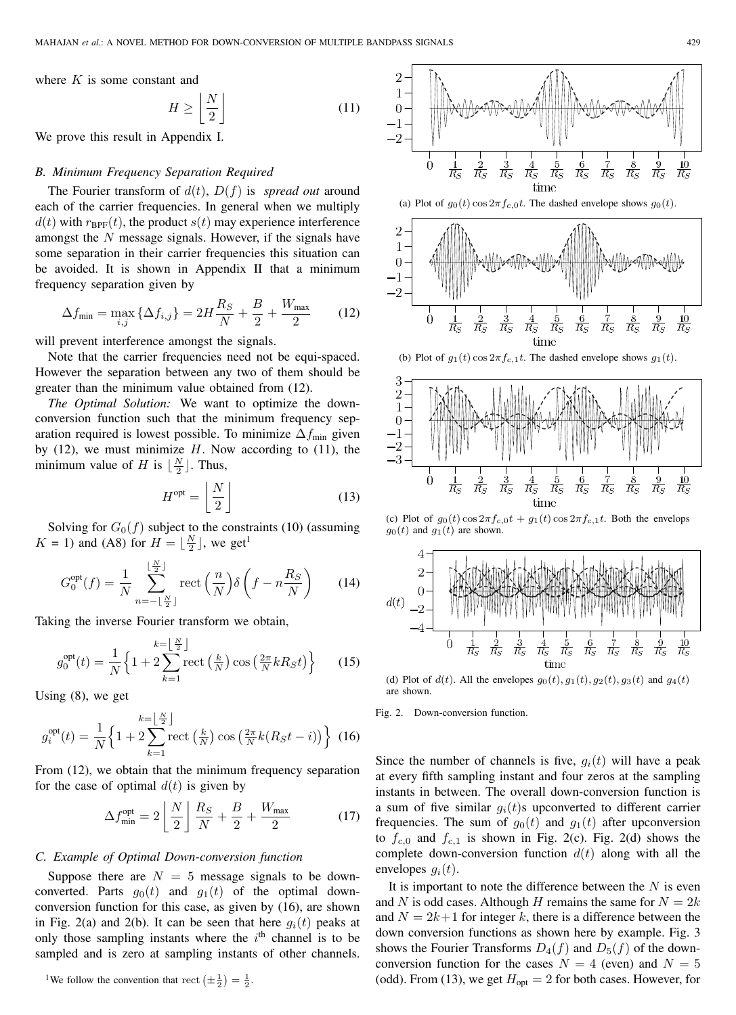where  $K$  is some constant and

$$
H \ge \left\lfloor \frac{N}{2} \right\rfloor \tag{11}
$$

We prove this result in Appendix I.

## *B. Minimum Frequency Separation Required*

The Fourier transform of  $d(t)$ ,  $D(f)$  is *spread out* around each of the carrier frequencies. In general when we multiply  $d(t)$  with  $r_{\text{BPF}}(t)$ , the product  $s(t)$  may experience interference amongst the  $N$  message signals. However, if the signals have some separation in their carrier frequencies this situation can be avoided. It is shown in Appendix II that a minimum frequency separation given by

$$
\Delta f_{\min} = \max_{i,j} \{ \Delta f_{i,j} \} = 2H \frac{R_S}{N} + \frac{B}{2} + \frac{W_{\max}}{2}
$$
 (12)

will prevent interference amongst the signals.

Note that the carrier frequencies need not be equi-spaced. However the separation between any two of them should be greater than the minimum value obtained from (12).

*The Optimal Solution:* We want to optimize the downconversion function such that the minimum frequency separation required is lowest possible. To minimize  $\Delta f_{\text{min}}$  given by  $(12)$ , we must minimize  $H$ . Now according to  $(11)$ , the minimum value of H is  $\lfloor \frac{N}{2} \rfloor$ . Thus,

$$
H^{\text{opt}} = \left\lfloor \frac{N}{2} \right\rfloor \tag{13}
$$

Solving for  $G_0(f)$  subject to the constraints (10) (assuming  $K = 1$ ) and (A8) for  $H = \lfloor \frac{N}{2} \rfloor$ , we get<sup>1</sup>

$$
G_0^{\text{opt}}(f) = \frac{1}{N} \sum_{n=-\lfloor \frac{N}{2} \rfloor}^{\lfloor \frac{N}{2} \rfloor} \text{rect}\left(\frac{n}{N}\right) \delta\left(f - n\frac{R_S}{N}\right) \tag{14}
$$

Taking the inverse Fourier transform we obtain,

$$
g_0^{\text{opt}}(t) = \frac{1}{N} \left\{ 1 + 2 \sum_{k=1}^{k=\lfloor \frac{N}{2} \rfloor} \text{rect}\left(\frac{k}{N}\right) \cos\left(\frac{2\pi}{N}kR_St\right) \right\} \tag{15}
$$

Using (8), we get

$$
g_i^{\text{opt}}(t) = \frac{1}{N} \left\{ 1 + 2 \sum_{k=1}^{k=\lfloor \frac{N}{2} \rfloor} \text{rect}\left(\frac{k}{N}\right) \cos\left(\frac{2\pi}{N}k(R_S t - i)\right) \right\}
$$
(16)

From (12), we obtain that the minimum frequency separation for the case of optimal  $d(t)$  is given by

$$
\Delta f_{\min}^{\text{opt}} = 2\left\lfloor \frac{N}{2} \right\rfloor \frac{R_S}{N} + \frac{B}{2} + \frac{W_{\max}}{2} \tag{17}
$$

#### *C. Example of Optimal Down-conversion function*

Suppose there are  $N = 5$  message signals to be downconverted. Parts  $g_0(t)$  and  $g_1(t)$  of the optimal downconversion function for this case, as given by (16), are shown in Fig. 2(a) and 2(b). It can be seen that here  $q_i(t)$  peaks at only those sampling instants where the  $i<sup>th</sup>$  channel is to be sampled and is zero at sampling instants of other channels.

<sup>1</sup>We follow the convention that rect  $\left(\pm \frac{1}{2}\right) = \frac{1}{2}$ .



(a) Plot of  $g_0(t)$  cos  $2\pi f_{c,0}t$ . The dashed envelope shows  $g_0(t)$ .



(b) Plot of  $g_1(t)$  cos  $2\pi f_{c,1}t$ . The dashed envelope shows  $g_1(t)$ .



(c) Plot of  $g_0(t)$  cos  $2\pi f_{c,0}t + g_1(t)$  cos  $2\pi f_{c,1}t$ . Both the envelops  $g_0(t)$  and  $g_1(t)$  are shown.



(d) Plot of  $d(t)$ . All the envelopes  $g_0(t), g_1(t), g_2(t), g_3(t)$  and  $g_4(t)$ are shown.

Fig. 2. Down-conversion function.

Since the number of channels is five,  $g_i(t)$  will have a peak at every fifth sampling instant and four zeros at the sampling instants in between. The overall down-conversion function is a sum of five similar  $q_i(t)$ s upconverted to different carrier frequencies. The sum of  $g_0(t)$  and  $g_1(t)$  after upconversion to  $f_{c,0}$  and  $f_{c,1}$  is shown in Fig. 2(c). Fig. 2(d) shows the complete down-conversion function  $d(t)$  along with all the envelopes  $g_i(t)$ .

It is important to note the difference between the  $N$  is even and N is odd cases. Although H remains the same for  $N = 2k$ and  $N = 2k+1$  for integer k, there is a difference between the down conversion functions as shown here by example. Fig. 3 shows the Fourier Transforms  $D_4(f)$  and  $D_5(f)$  of the downconversion function for the cases  $N = 4$  (even) and  $N = 5$ (odd). From (13), we get  $H_{opt} = 2$  for both cases. However, for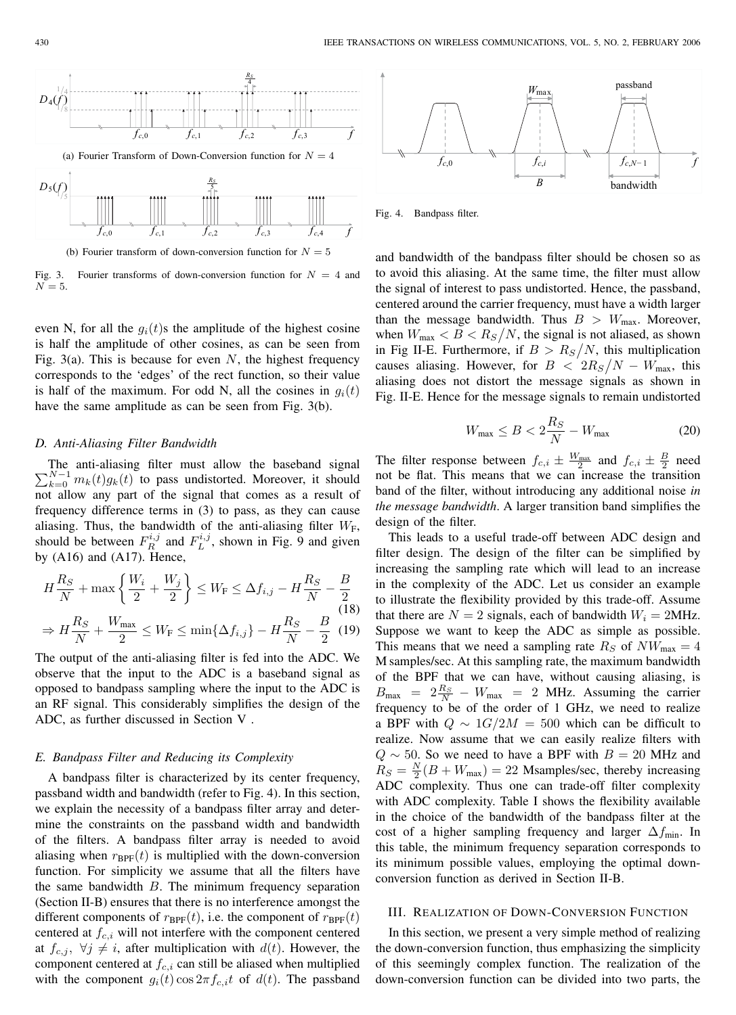

Fig. 3. Fourier transforms of down-conversion function for  $N = 4$  and  $N = 5$ .

even N, for all the  $g_i(t)$ s the amplitude of the highest cosine is half the amplitude of other cosines, as can be seen from Fig. 3(a). This is because for even N, the highest frequency corresponds to the 'edges' of the rect function, so their value is half of the maximum. For odd N, all the cosines in  $g_i(t)$ have the same amplitude as can be seen from Fig. 3(b).

## *D. Anti-Aliasing Filter Bandwidth*

 $\sum_{k=0}^{N-1} m_k(t) g_k(t)$  to pass undistorted. Moreover, it should The anti-aliasing filter must allow the baseband signal not allow any part of the signal that comes as a result of frequency difference terms in (3) to pass, as they can cause aliasing. Thus, the bandwidth of the anti-aliasing filter  $W_F$ , should be between  $F_R^{i,j}$  and  $F_L^{i,j}$ , shown in Fig. 9 and given by  $(A16)$  and  $(A17)$ . Hence,

$$
H\frac{R_S}{N} + \max\left\{\frac{W_i}{2} + \frac{W_j}{2}\right\} \le W_{\rm F} \le \Delta f_{i,j} - H\frac{R_S}{N} - \frac{B}{2}
$$
\n
$$
\Rightarrow H\frac{R_S}{N} + \frac{W_{\rm max}}{2} \le W_{\rm F} \le \min\{\Delta f_{i,j}\} - H\frac{R_S}{N} - \frac{B}{2} \tag{19}
$$

The output of the anti-aliasing filter is fed into the ADC. We observe that the input to the ADC is a baseband signal as opposed to bandpass sampling where the input to the ADC is an RF signal. This considerably simplifies the design of the ADC, as further discussed in Section V .

## *E. Bandpass Filter and Reducing its Complexity*

A bandpass filter is characterized by its center frequency, passband width and bandwidth (refer to Fig. 4). In this section, we explain the necessity of a bandpass filter array and determine the constraints on the passband width and bandwidth of the filters. A bandpass filter array is needed to avoid aliasing when  $r_{\text{BPF}}(t)$  is multiplied with the down-conversion function. For simplicity we assume that all the filters have the same bandwidth  $B$ . The minimum frequency separation (Section II-B) ensures that there is no interference amongst the different components of  $r_{\text{BPF}}(t)$ , i.e. the component of  $r_{\text{BPF}}(t)$ centered at  $f_{c,i}$  will not interfere with the component centered at  $f_{c,j}$ ,  $\forall j \neq i$ , after multiplication with  $d(t)$ . However, the component centered at  $f_{c,i}$  can still be aliased when multiplied with the component  $g_i(t)\cos 2\pi f_{c,i}t$  of  $d(t)$ . The passband



Fig. 4. Bandpass filter.

and bandwidth of the bandpass filter should be chosen so as to avoid this aliasing. At the same time, the filter must allow the signal of interest to pass undistorted. Hence, the passband, centered around the carrier frequency, must have a width larger than the message bandwidth. Thus  $B > W_{\text{max}}$ . Moreover, when  $W_{\text{max}} < B < R_S/N$ , the signal is not aliased, as shown in Fig II-E. Furthermore, if  $B > R_S/N$ , this multiplication causes aliasing. However, for  $B < 2R_S/N - W_{\text{max}}$ , this aliasing does not distort the message signals as shown in Fig. II-E. Hence for the message signals to remain undistorted

$$
W_{\text{max}} \le B < 2\frac{R_S}{N} - W_{\text{max}}\tag{20}
$$

The filter response between  $f_{c,i} \pm \frac{W_{\text{max}}}{2}$  and  $f_{c,i} \pm \frac{B}{2}$  need not be flat. This means that we can increase the transition band of the filter, without introducing any additional noise *in the message bandwidth*. A larger transition band simplifies the design of the filter.

This leads to a useful trade-off between ADC design and filter design. The design of the filter can be simplified by increasing the sampling rate which will lead to an increase in the complexity of the ADC. Let us consider an example to illustrate the flexibility provided by this trade-off. Assume that there are  $N = 2$  signals, each of bandwidth  $W_i = 2$ MHz. Suppose we want to keep the ADC as simple as possible. This means that we need a sampling rate  $R_S$  of  $NW_{\text{max}} = 4$ M samples/sec. At this sampling rate, the maximum bandwidth of the BPF that we can have, without causing aliasing, is  $B_{\text{max}}$  =  $2 \frac{R_S}{N}$  –  $W_{\text{max}}$  = 2 MHz. Assuming the carrier frequency to be of the order of 1 GHz, we need to realize a BPF with  $Q \sim 1G/2M = 500$  which can be difficult to realize. Now assume that we can easily realize filters with  $Q \sim 50$ . So we need to have a BPF with  $B = 20$  MHz and  $R_S = \frac{N}{2}(B + W_{\text{max}}) = 22$  Msamples/sec, thereby increasing ADC complexity. Thus one can trade-off filter complexity with ADC complexity. Table I shows the flexibility available in the choice of the bandwidth of the bandpass filter at the cost of a higher sampling frequency and larger  $\Delta f_{\text{min}}$ . In this table, the minimum frequency separation corresponds to its minimum possible values, employing the optimal downconversion function as derived in Section II-B.

## III. REALIZATION OF DOWN-CONVERSION FUNCTION

In this section, we present a very simple method of realizing the down-conversion function, thus emphasizing the simplicity of this seemingly complex function. The realization of the down-conversion function can be divided into two parts, the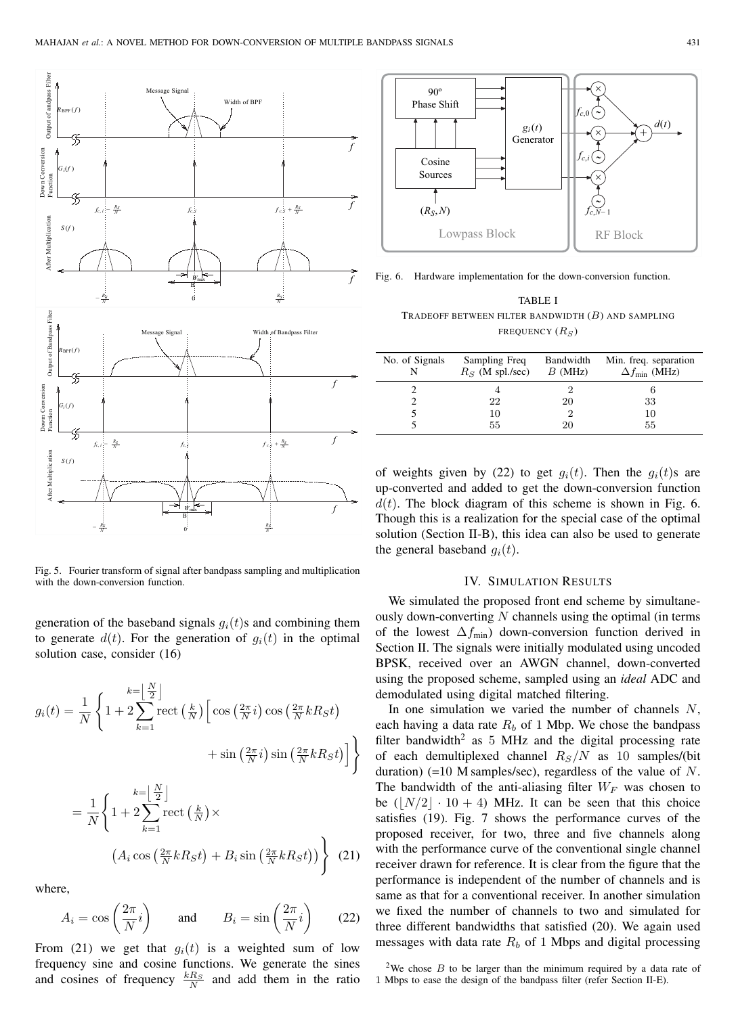

Fig. 5. Fourier transform of signal after bandpass sampling and multiplication with the down-conversion function.

generation of the baseband signals  $g_i(t)$ s and combining them to generate  $d(t)$ . For the generation of  $g_i(t)$  in the optimal solution case, consider (16)

$$
g_i(t) = \frac{1}{N} \left\{ 1 + 2 \sum_{k=1}^{k= \left\lfloor \frac{N}{2} \right\rfloor} \text{rect}\left(\frac{k}{N}\right) \left[ \cos\left(\frac{2\pi}{N}i\right) \cos\left(\frac{2\pi}{N}kR_St\right) \right. \right. \\
\left. + \sin\left(\frac{2\pi}{N}i\right) \sin\left(\frac{2\pi}{N}kR_St\right) \right] \right\}
$$
\n
$$
= \frac{1}{N} \left\{ 1 + 2 \sum_{k=1}^{k= \left\lfloor \frac{N}{2} \right\rfloor} \text{rect}\left(\frac{k}{N}\right) \times \left( A_i \cos\left(\frac{2\pi}{N}kR_St\right) + B_i \sin\left(\frac{2\pi}{N}kR_St\right) \right) \right\} \tag{21}
$$

where,

$$
A_i = \cos\left(\frac{2\pi}{N}i\right) \quad \text{and} \quad B_i = \sin\left(\frac{2\pi}{N}i\right) \quad (22)
$$

From (21) we get that  $g_i(t)$  is a weighted sum of low frequency sine and cosine functions. We generate the sines and cosines of frequency  $\frac{kR_S}{N}$  and add them in the ratio



Fig. 6. Hardware implementation for the down-conversion function.

TABLE I TRADEOFF BETWEEN FILTER BANDWIDTH  $(B)$  and sampling FREQUENCY  $(R_S)$ 

| No. of Signals | Sampling Freq<br>$RS$ (M spl./sec) | Bandwidth<br>B(MHz) | Min. freq. separation<br>$\Delta f_{\text{min}}$ (MHz) |
|----------------|------------------------------------|---------------------|--------------------------------------------------------|
|                |                                    |                     |                                                        |
|                | 22                                 | 20                  | 33                                                     |
|                | 10                                 | 2                   | 10                                                     |
|                | 55                                 | 20                  | 55                                                     |

of weights given by (22) to get  $g_i(t)$ . Then the  $g_i(t)$ s are up-converted and added to get the down-conversion function  $d(t)$ . The block diagram of this scheme is shown in Fig. 6. Though this is a realization for the special case of the optimal solution (Section II-B), this idea can also be used to generate the general baseband  $g_i(t)$ .

## IV. SIMULATION RESULTS

We simulated the proposed front end scheme by simultaneously down-converting  $N$  channels using the optimal (in terms of the lowest  $\Delta f_{\text{min}}$ ) down-conversion function derived in Section II. The signals were initially modulated using uncoded BPSK, received over an AWGN channel, down-converted using the proposed scheme, sampled using an *ideal* ADC and demodulated using digital matched filtering.

In one simulation we varied the number of channels  $N$ , each having a data rate  $R_b$  of 1 Mbp. We chose the bandpass filter bandwidth<sup>2</sup> as 5 MHz and the digital processing rate of each demultiplexed channel  $R<sub>S</sub>/N$  as 10 samples/(bit duration)  $(=10 \text{ M samples/sec})$ , regardless of the value of N. The bandwidth of the anti-aliasing filter  $W_F$  was chosen to be  $(|N/2| \cdot 10 + 4)$  MHz. It can be seen that this choice satisfies (19). Fig. 7 shows the performance curves of the proposed receiver, for two, three and five channels along with the performance curve of the conventional single channel receiver drawn for reference. It is clear from the figure that the performance is independent of the number of channels and is same as that for a conventional receiver. In another simulation we fixed the number of channels to two and simulated for three different bandwidths that satisfied (20). We again used messages with data rate  $R_b$  of 1 Mbps and digital processing

<sup>2</sup>We chose  $B$  to be larger than the minimum required by a data rate of 1 Mbps to ease the design of the bandpass filter (refer Section II-E).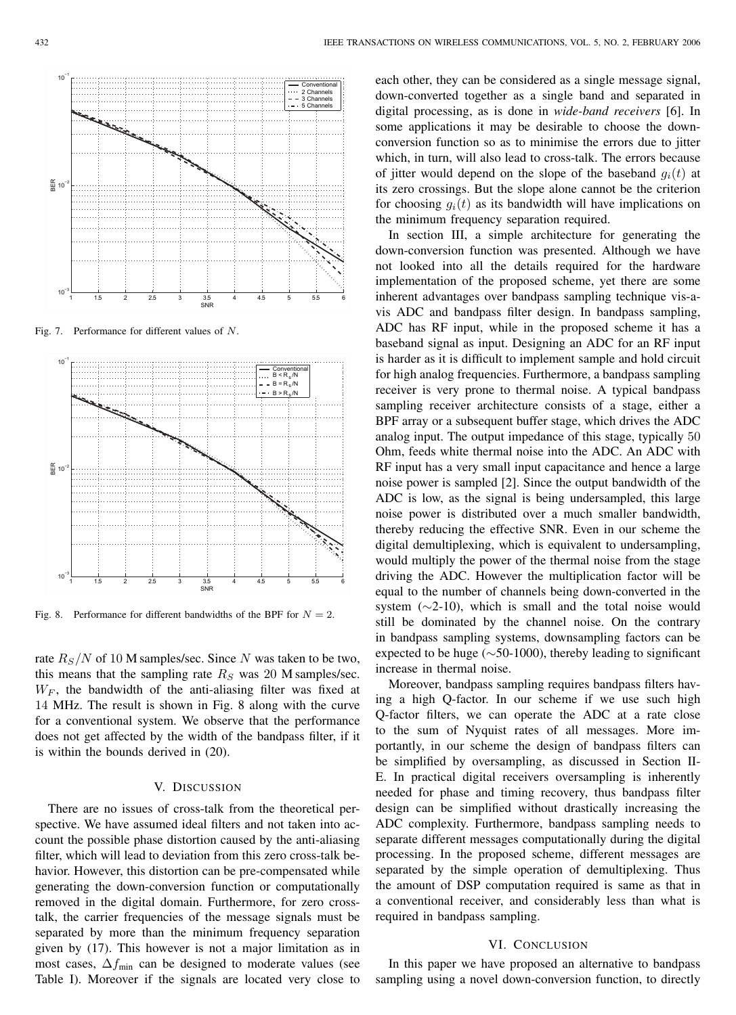

Fig. 7. Performance for different values of N.



Fig. 8. Performance for different bandwidths of the BPF for  $N = 2$ .

rate  $R<sub>S</sub>/N$  of 10 M samples/sec. Since N was taken to be two, this means that the sampling rate  $R<sub>S</sub>$  was 20 M samples/sec.  $W_F$ , the bandwidth of the anti-aliasing filter was fixed at 14 MHz. The result is shown in Fig. 8 along with the curve for a conventional system. We observe that the performance does not get affected by the width of the bandpass filter, if it is within the bounds derived in (20).

## V. DISCUSSION

There are no issues of cross-talk from the theoretical perspective. We have assumed ideal filters and not taken into account the possible phase distortion caused by the anti-aliasing filter, which will lead to deviation from this zero cross-talk behavior. However, this distortion can be pre-compensated while generating the down-conversion function or computationally removed in the digital domain. Furthermore, for zero crosstalk, the carrier frequencies of the message signals must be separated by more than the minimum frequency separation given by (17). This however is not a major limitation as in most cases,  $\Delta f_{\text{min}}$  can be designed to moderate values (see Table I). Moreover if the signals are located very close to each other, they can be considered as a single message signal, down-converted together as a single band and separated in digital processing, as is done in *wide-band receivers* [6]. In some applications it may be desirable to choose the downconversion function so as to minimise the errors due to jitter which, in turn, will also lead to cross-talk. The errors because of jitter would depend on the slope of the baseband  $g_i(t)$  at its zero crossings. But the slope alone cannot be the criterion for choosing  $g_i(t)$  as its bandwidth will have implications on the minimum frequency separation required.

In section III, a simple architecture for generating the down-conversion function was presented. Although we have not looked into all the details required for the hardware implementation of the proposed scheme, yet there are some inherent advantages over bandpass sampling technique vis-avis ADC and bandpass filter design. In bandpass sampling, ADC has RF input, while in the proposed scheme it has a baseband signal as input. Designing an ADC for an RF input is harder as it is difficult to implement sample and hold circuit for high analog frequencies. Furthermore, a bandpass sampling receiver is very prone to thermal noise. A typical bandpass sampling receiver architecture consists of a stage, either a BPF array or a subsequent buffer stage, which drives the ADC analog input. The output impedance of this stage, typically 50 Ohm, feeds white thermal noise into the ADC. An ADC with RF input has a very small input capacitance and hence a large noise power is sampled [2]. Since the output bandwidth of the ADC is low, as the signal is being undersampled, this large noise power is distributed over a much smaller bandwidth, thereby reducing the effective SNR. Even in our scheme the digital demultiplexing, which is equivalent to undersampling, would multiply the power of the thermal noise from the stage driving the ADC. However the multiplication factor will be equal to the number of channels being down-converted in the system  $(\sim 2-10)$ , which is small and the total noise would still be dominated by the channel noise. On the contrary in bandpass sampling systems, downsampling factors can be expected to be huge ( $\sim$ 50-1000), thereby leading to significant increase in thermal noise.

Moreover, bandpass sampling requires bandpass filters having a high Q-factor. In our scheme if we use such high Q-factor filters, we can operate the ADC at a rate close to the sum of Nyquist rates of all messages. More importantly, in our scheme the design of bandpass filters can be simplified by oversampling, as discussed in Section II-E. In practical digital receivers oversampling is inherently needed for phase and timing recovery, thus bandpass filter design can be simplified without drastically increasing the ADC complexity. Furthermore, bandpass sampling needs to separate different messages computationally during the digital processing. In the proposed scheme, different messages are separated by the simple operation of demultiplexing. Thus the amount of DSP computation required is same as that in a conventional receiver, and considerably less than what is required in bandpass sampling.

#### VI. CONCLUSION

In this paper we have proposed an alternative to bandpass sampling using a novel down-conversion function, to directly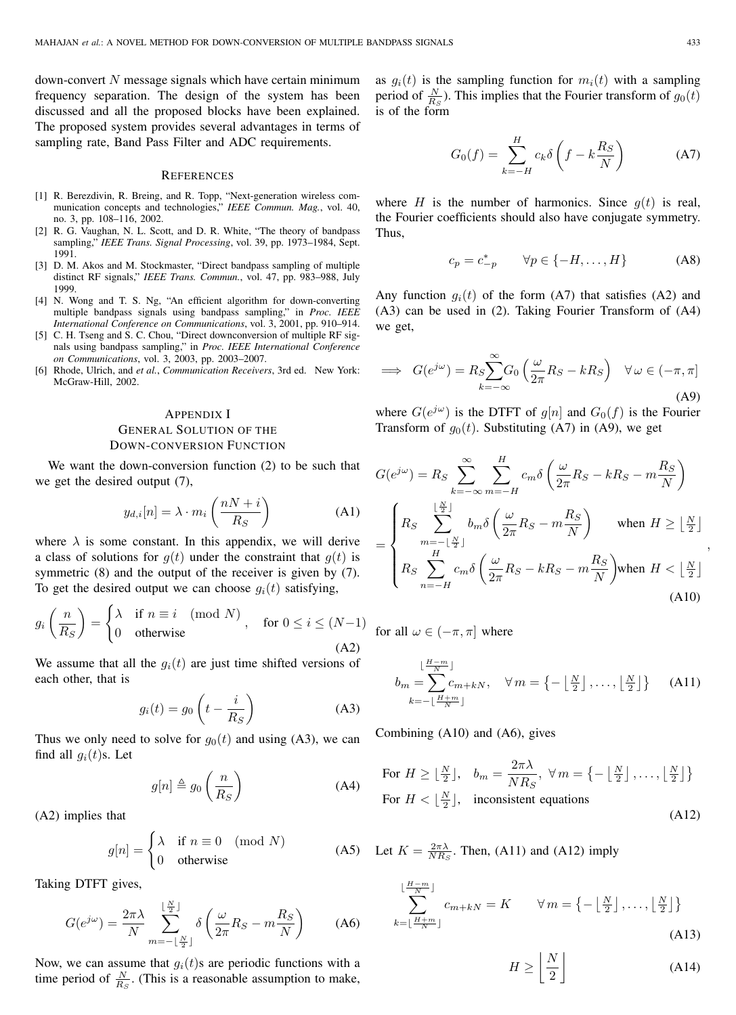$down$ -convert  $N$  message signals which have certain minimum frequency separation. The design of the system has been discussed and all the proposed blocks have been explained. The proposed system provides several advantages in terms of sampling rate, Band Pass Filter and ADC requirements.

#### **REFERENCES**

- [1] R. Berezdivin, R. Breing, and R. Topp, "Next-generation wireless communication concepts and technologies," *IEEE Commun. Mag.*, vol. 40, no. 3, pp. 108–116, 2002.
- [2] R. G. Vaughan, N. L. Scott, and D. R. White, "The theory of bandpass sampling," *IEEE Trans. Signal Processing*, vol. 39, pp. 1973–1984, Sept. 1991.
- [3] D. M. Akos and M. Stockmaster, "Direct bandpass sampling of multiple distinct RF signals," *IEEE Trans. Commun.*, vol. 47, pp. 983–988, July 1999.
- [4] N. Wong and T. S. Ng, "An efficient algorithm for down-converting multiple bandpass signals using bandpass sampling," in *Proc. IEEE International Conference on Communications*, vol. 3, 2001, pp. 910–914.
- [5] C. H. Tseng and S. C. Chou, "Direct downconversion of multiple RF signals using bandpass sampling," in *Proc. IEEE International Conference on Communications*, vol. 3, 2003, pp. 2003–2007.
- [6] Rhode, Ulrich, and *et al.*, *Communication Receivers*, 3rd ed. New York: McGraw-Hill, 2002.

#### APPENDIX I

# GENERAL SOLUTION OF THE DOWN-CONVERSION FUNCTION

We want the down-conversion function (2) to be such that we get the desired output (7),

$$
y_{d,i}[n] = \lambda \cdot m_i \left(\frac{nN+i}{R_S}\right) \tag{A1}
$$

where  $\lambda$  is some constant. In this appendix, we will derive a class of solutions for  $g(t)$  under the constraint that  $g(t)$  is symmetric (8) and the output of the receiver is given by (7). To get the desired output we can choose  $q_i(t)$  satisfying,

$$
g_i\left(\frac{n}{R_S}\right) = \begin{cases} \lambda & \text{if } n \equiv i \pmod{N} \\ 0 & \text{otherwise} \end{cases}, \quad \text{for } 0 \le i \le (N-1)
$$

We assume that all the  $g_i(t)$  are just time shifted versions of each other, that is

$$
g_i(t) = g_0 \left( t - \frac{i}{R_S} \right) \tag{A3}
$$

Thus we only need to solve for  $g_0(t)$  and using (A3), we can find all  $g_i(t)$ s. Let

$$
g[n] \triangleq g_0\left(\frac{n}{R_S}\right) \tag{A4}
$$

(A2) implies that

$$
g[n] = \begin{cases} \lambda & \text{if } n \equiv 0 \pmod{N} \\ 0 & \text{otherwise} \end{cases}
$$
 (A5)

Taking DTFT gives,

$$
G(e^{j\omega}) = \frac{2\pi\lambda}{N} \sum_{m=-\lfloor \frac{N}{2} \rfloor}^{\lfloor \frac{N}{2} \rfloor} \delta\left(\frac{\omega}{2\pi}R_S - m\frac{R_S}{N}\right) \tag{A6}
$$

Now, we can assume that  $g_i(t)$ s are periodic functions with a time period of  $\frac{N}{R_S}$ . (This is a reasonable assumption to make,

as  $g_i(t)$  is the sampling function for  $m_i(t)$  with a sampling period of  $\frac{N}{R_S}$ ). This implies that the Fourier transform of  $g_0(t)$ is of the form

$$
G_0(f) = \sum_{k=-H}^{H} c_k \delta \left( f - k \frac{R_S}{N} \right) \tag{A7}
$$

where H is the number of harmonics. Since  $q(t)$  is real, the Fourier coefficients should also have conjugate symmetry. Thus,

$$
c_p = c_{-p}^* \qquad \forall p \in \{-H, \dots, H\} \tag{A8}
$$

Any function  $g_i(t)$  of the form (A7) that satisfies (A2) and (A3) can be used in (2). Taking Fourier Transform of (A4) we get,

$$
\implies G(e^{j\omega}) = R_S \sum_{k=-\infty}^{\infty} G_0 \left(\frac{\omega}{2\pi} R_S - kR_S\right) \quad \forall \omega \in (-\pi, \pi]
$$
\n(A9)

where  $G(e^{j\omega})$  is the DTFT of  $g[n]$  and  $G_0(f)$  is the Fourier Transform of  $g_0(t)$ . Substituting (A7) in (A9), we get

$$
G(e^{j\omega}) = R_S \sum_{k=-\infty}^{\infty} \sum_{m=-H}^{H} c_m \delta \left( \frac{\omega}{2\pi} R_S - kR_S - m\frac{R_S}{N} \right)
$$
  
= 
$$
\begin{cases} R_S \sum_{m=-\lfloor \frac{N}{2} \rfloor}^{[\frac{N}{2}]} b_m \delta \left( \frac{\omega}{2\pi} R_S - m\frac{R_S}{N} \right) & \text{when } H \geq \lfloor \frac{N}{2} \rfloor \\ R_S \sum_{n=-H}^{H} c_m \delta \left( \frac{\omega}{2\pi} R_S - kR_S - m\frac{R_S}{N} \right) & \text{when } H < \lfloor \frac{N}{2} \rfloor \end{cases}
$$
(A10)

for all  $\omega \in (-\pi, \pi]$  where

$$
b_m = \sum_{k=-\lfloor \frac{H+m}{N} \rfloor}^{\lfloor \frac{H-m}{N} \rfloor} c_{m+kN}, \quad \forall m = \left\{-\lfloor \frac{N}{2} \rfloor, \dots, \lfloor \frac{N}{2} \rfloor \right\} \quad \text{(A11)}
$$

Combining (A10) and (A6), gives

For 
$$
H \ge \lfloor \frac{N}{2} \rfloor
$$
,  $b_m = \frac{2\pi\lambda}{NR_S}$ ,  $\forall m = \left\{-\lfloor \frac{N}{2} \rfloor, \ldots, \lfloor \frac{N}{2} \rfloor\right\}$   
For  $H < \lfloor \frac{N}{2} \rfloor$ , inconsistent equations (A12)

(A5) Let  $K = \frac{2\pi\lambda}{NR_S}$ . Then, (A11) and (A12) imply

$$
\sum_{k=\lfloor \frac{H+m}{N} \rfloor}^{\lfloor \frac{H-m}{N} \rfloor} c_{m+kN} = K \qquad \forall \, m = \left\{ -\left\lfloor \frac{N}{2} \right\rfloor, \dots, \left\lfloor \frac{N}{2} \right\rfloor \right\}
$$
\n(A13)

$$
H \ge \left\lfloor \frac{N}{2} \right\rfloor \tag{A14}
$$

,